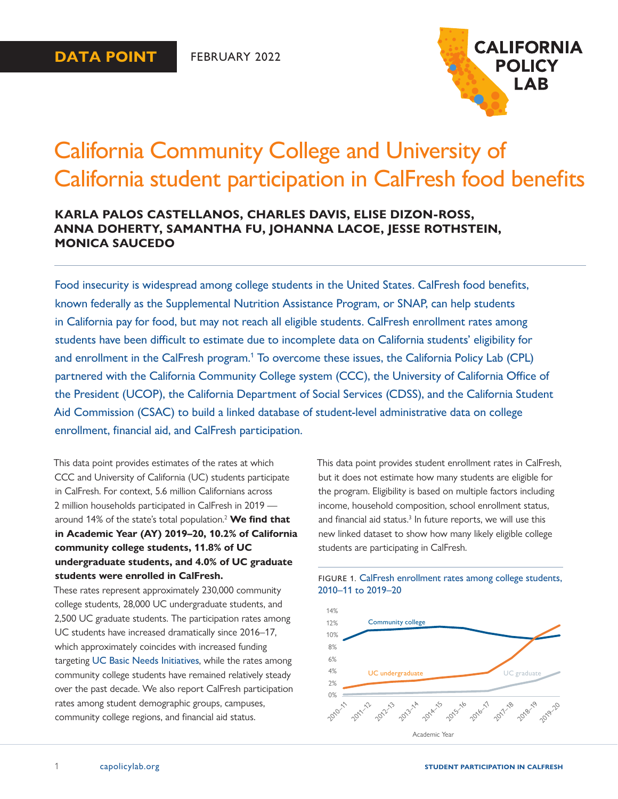

# <span id="page-0-0"></span>California Community College and University of California student participation in CalFresh food benefits

### **KARLA PALOS CASTELLANOS, CHARLES DAVIS, ELISE DIZON-ROSS, ANNA DOHERTY, SAMANTHA FU, JOHANNA LACOE, JESSE ROTHSTEIN, MONICA SAUCEDO**

Food insecurity is widespread among college students in the United States. CalFresh food benefits, known federally as the Supplemental Nutrition Assistance Program, or SNAP, can help students in California pay for food, but may not reach all eligible students. CalFresh enrollment rates among students have been difficult to estimate due to incomplete data on California students' eligibility for and enrollment in the CalFresh program.<sup>1</sup> To overcome these issues, the California Policy Lab (CPL) partnered with the California Community College system (CCC), the University of California Office of the President (UCOP), the California Department of Social Services (CDSS), and the California Student Aid Commission (CSAC) to build a linked database of student-level administrative data on college enrollment, financial aid, and CalFresh participation.

This data point provides estimates of the rates at which CCC and University of California (UC) students participate in CalFresh. For context, 5.6 million Californians across 2 million households participated in CalFresh in 2019 around 14% of the state's total population[.2](#page-10-0) **We find that in Academic Year (AY) 2019–20, 10.2% of California community college students, 11.8% of UC undergraduate students, and 4.0% of UC graduate students were enrolled in CalFresh.**

These rates represent approximately 230,000 community college students, 28,000 UC undergraduate students, and 2,500 UC graduate students. The participation rates among UC students have increased dramatically since 2016–17, which approximately coincides with increased funding targeting [UC Basic Needs Initiatives](https://basicneeds.ucop.edu/about/history.html), while the rates among community college students have remained relatively steady over the past decade. We also report CalFresh participation rates among student demographic groups, campuses, community college regions, and financial aid status.

This data point provides student enrollment rates in CalFresh, but it does not estimate how many students are eligible for the program. Eligibility is based on multiple factors including income, household composition, school enrollment status, and financial aid status.<sup>3</sup> In future reports, we will use this new linked dataset to show how many likely eligible college students are participating in CalFresh.



#### FIGURE 1. CalFresh enrollment rates among college students, 2010–11 to 2019–20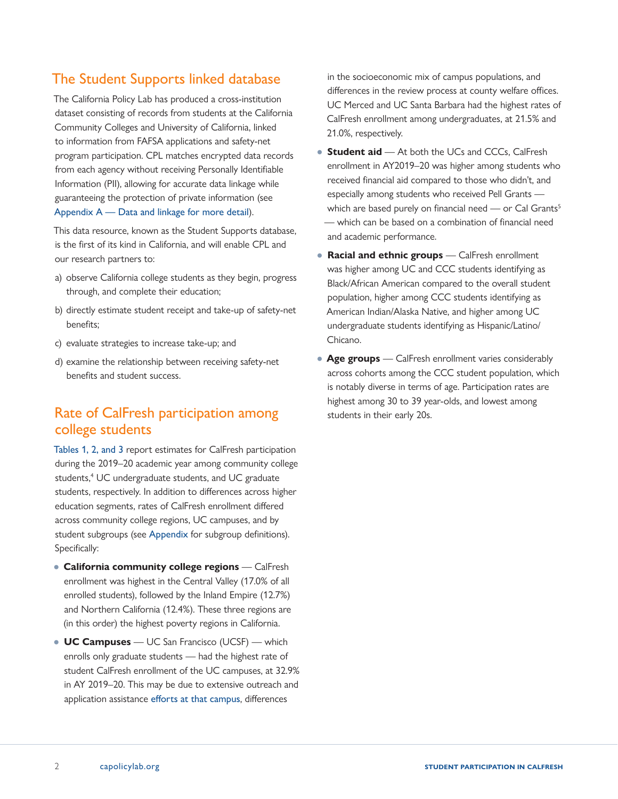# <span id="page-1-0"></span>The Student Supports linked database

The California Policy Lab has produced a cross-institution dataset consisting of records from students at the California Community Colleges and University of California, linked to information from FAFSA applications and safety-net program participation. CPL matches encrypted data records from each agency without receiving Personally Identifiable Information (PII), allowing for accurate data linkage while guaranteeing the protection of private information (see [Appendix A — Data and linkage for more detail](#page-8-0)).

This data resource, known as the Student Supports database, is the first of its kind in California, and will enable CPL and our research partners to:

- a) observe California college students as they begin, progress through, and complete their education;
- b) directly estimate student receipt and take-up of safety-net benefits;
- c) evaluate strategies to increase take-up; and
- d) examine the relationship between receiving safety-net benefits and student success.

### Rate of CalFresh participation among college students

Tables 1, 2, and 3 report estimates for CalFresh participation during the 2019–20 academic year among community college students,[4](#page-10-0) UC undergraduate students, and UC graduate students, respectively. In addition to differences across higher education segments, rates of CalFresh enrollment differed across community college regions, UC campuses, and by student subgroups (see [Appendix](#page-8-0) for subgroup definitions). Specifically:

- **California community college regions** CalFresh enrollment was highest in the Central Valley (17.0% of all enrolled students), followed by the Inland Empire (12.7%) and Northern California (12.4%). These three regions are (in this order) the highest poverty regions in California.
- **UC Campuses** UC San Francisco (UCSF) which enrolls only graduate students — had the highest rate of student CalFresh enrollment of the UC campuses, at 32.9% in AY 2019–20. This may be due to extensive outreach and application assistance [efforts at that campus](https://basicneeds.ucsf.edu/), differences

in the socioeconomic mix of campus populations, and differences in the review process at county welfare offices. UC Merced and UC Santa Barbara had the highest rates of CalFresh enrollment among undergraduates, at 21.5% and 21.0%, respectively.

- **Student aid** At both the UCs and CCCs, CalFresh enrollment in AY2019–20 was higher among students who received financial aid compared to those who didn't, and especially among students who received Pell Grants which are based purely on financial need — or Cal Grants<sup>5</sup> — which can be based on a combination of financial need and academic performance.
- **Racial and ethnic groups** CalFresh enrollment was higher among UC and CCC students identifying as Black/African American compared to the overall student population, higher among CCC students identifying as American Indian/Alaska Native, and higher among UC undergraduate students identifying as Hispanic/Latino/ Chicano.
- **Age groups** CalFresh enrollment varies considerably across cohorts among the CCC student population, which is notably diverse in terms of age. Participation rates are highest among 30 to 39 year-olds, and lowest among students in their early 20s.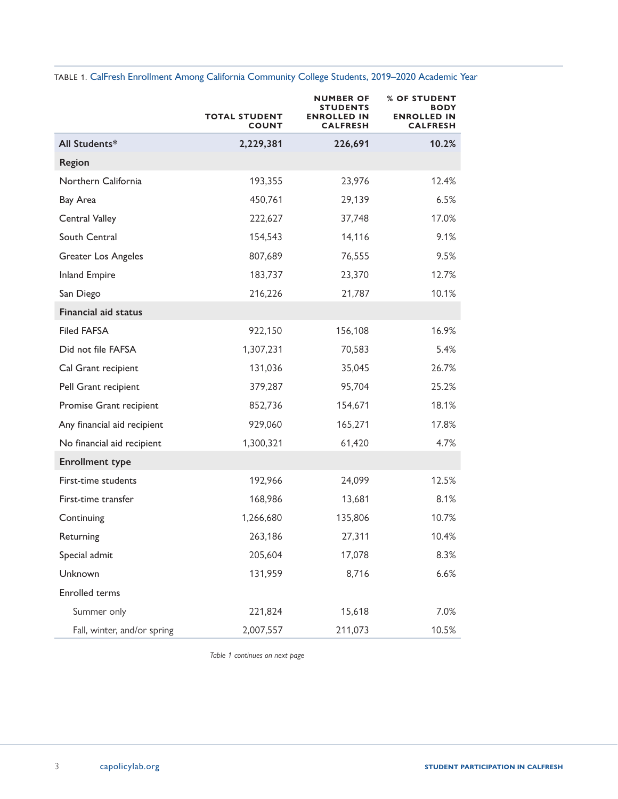|                             | <b>TOTAL STUDENT</b><br>COUNT | <b>NUMBER OF</b><br><b>STUDENTS</b><br><b>ENROLLED IN</b><br><b>CALFRESH</b> | <b>% OF STUDENT</b><br><b>BODY</b><br><b>ENROLLED IN</b><br><b>CALFRESH</b> |
|-----------------------------|-------------------------------|------------------------------------------------------------------------------|-----------------------------------------------------------------------------|
| All Students*               | 2,229,381                     | 226,691                                                                      | 10.2%                                                                       |
| Region                      |                               |                                                                              |                                                                             |
| Northern California         | 193,355                       | 23,976                                                                       | 12.4%                                                                       |
| Bay Area                    | 450,761                       | 29,139                                                                       | 6.5%                                                                        |
| Central Valley              | 222,627                       | 37,748                                                                       | 17.0%                                                                       |
| South Central               | 154,543                       | 14,116                                                                       | 9.1%                                                                        |
| <b>Greater Los Angeles</b>  | 807,689                       | 76,555                                                                       | 9.5%                                                                        |
| <b>Inland Empire</b>        | 183,737                       | 23,370                                                                       | 12.7%                                                                       |
| San Diego                   | 216,226                       | 21,787                                                                       | 10.1%                                                                       |
| <b>Financial aid status</b> |                               |                                                                              |                                                                             |
| <b>Filed FAFSA</b>          | 922,150                       | 156,108                                                                      | 16.9%                                                                       |
| Did not file FAFSA          | 1,307,231                     | 70,583                                                                       | 5.4%                                                                        |
| Cal Grant recipient         | 131,036                       | 35,045                                                                       | 26.7%                                                                       |
| Pell Grant recipient        | 379,287                       | 95,704                                                                       | 25.2%                                                                       |
| Promise Grant recipient     | 852,736                       | 154,671                                                                      | 18.1%                                                                       |
| Any financial aid recipient | 929,060                       | 165,271                                                                      | 17.8%                                                                       |
| No financial aid recipient  | 1,300,321                     | 61,420                                                                       | 4.7%                                                                        |
| <b>Enrollment type</b>      |                               |                                                                              |                                                                             |
| First-time students         | 192,966                       | 24,099                                                                       | 12.5%                                                                       |
| First-time transfer         | 168,986                       | 13,681                                                                       | 8.1%                                                                        |
| Continuing                  | 1,266,680                     | 135,806                                                                      | 10.7%                                                                       |
| Returning                   | 263,186                       | 27,311                                                                       | 10.4%                                                                       |
| Special admit               | 205,604                       | 17,078                                                                       | 8.3%                                                                        |
| Unknown                     | 131,959                       | 8,716                                                                        | 6.6%                                                                        |
| Enrolled terms              |                               |                                                                              |                                                                             |
| Summer only                 | 221,824                       | 15,618                                                                       | 7.0%                                                                        |
| Fall, winter, and/or spring | 2,007,557                     | 211,073                                                                      | 10.5%                                                                       |

### TABLE 1. CalFresh Enrollment Among California Community College Students, 2019–2020 Academic Year

*Table 1 continues on next page*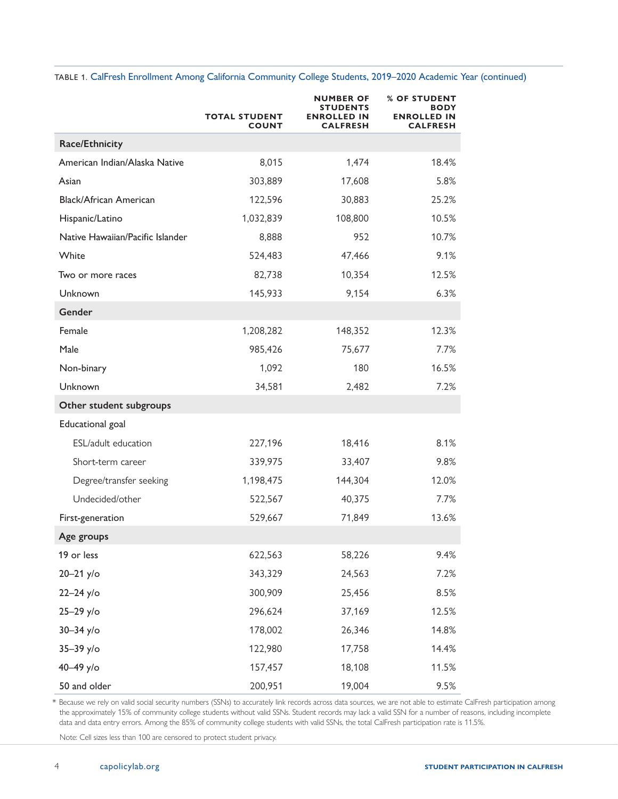|                                  | <b>TOTAL STUDENT</b><br><b>COUNT</b> | <b>NUMBER OF</b><br><b>STUDENTS</b><br><b>ENROLLED IN</b><br><b>CALFRESH</b> | <b>% OF STUDENT</b><br><b>BODY</b><br><b>ENROLLED IN</b><br><b>CALFRESH</b> |
|----------------------------------|--------------------------------------|------------------------------------------------------------------------------|-----------------------------------------------------------------------------|
| Race/Ethnicity                   |                                      |                                                                              |                                                                             |
| American Indian/Alaska Native    | 8,015                                | 1,474                                                                        | 18.4%                                                                       |
| Asian                            | 303,889                              | 17,608                                                                       | 5.8%                                                                        |
| Black/African American           | 122,596                              | 30,883                                                                       | 25.2%                                                                       |
| Hispanic/Latino                  | 1,032,839                            | 108,800                                                                      | 10.5%                                                                       |
| Native Hawaiian/Pacific Islander | 8,888                                | 952                                                                          | 10.7%                                                                       |
| White                            | 524,483                              | 47,466                                                                       | 9.1%                                                                        |
| Two or more races                | 82,738                               | 10,354                                                                       | 12.5%                                                                       |
| Unknown                          | 145,933                              | 9,154                                                                        | 6.3%                                                                        |
| Gender                           |                                      |                                                                              |                                                                             |
| Female                           | 1,208,282                            | 148,352                                                                      | 12.3%                                                                       |
| Male                             | 985,426                              | 75,677                                                                       | 7.7%                                                                        |
| Non-binary                       | 1,092                                | 180                                                                          | 16.5%                                                                       |
| Unknown                          | 34,581                               | 2,482                                                                        | 7.2%                                                                        |
| Other student subgroups          |                                      |                                                                              |                                                                             |
| Educational goal                 |                                      |                                                                              |                                                                             |
| ESL/adult education              | 227,196                              | 18,416                                                                       | 8.1%                                                                        |
| Short-term career                | 339,975                              | 33,407                                                                       | 9.8%                                                                        |
| Degree/transfer seeking          | 1,198,475                            | 144,304                                                                      | 12.0%                                                                       |
| Undecided/other                  | 522,567                              | 40,375                                                                       | 7.7%                                                                        |
| First-generation                 | 529,667                              | 71,849                                                                       | 13.6%                                                                       |
| Age groups                       |                                      |                                                                              |                                                                             |
| 19 or less                       | 622,563                              | 58,226                                                                       | 9.4%                                                                        |
| $20 - 21$ y/o                    | 343,329                              | 24,563                                                                       | 7.2%                                                                        |
| $22 - 24$ y/o                    | 300,909                              | 25,456                                                                       | 8.5%                                                                        |
| $25 - 29$ y/o                    | 296,624                              | 37,169                                                                       | 12.5%                                                                       |
| $30 - 34$ y/o                    | 178,002                              | 26,346                                                                       | 14.8%                                                                       |
| $35 - 39$ y/o                    | 122,980                              | 17,758                                                                       | 14.4%                                                                       |
| 40-49 y/o                        | 157,457                              | 18,108                                                                       | 11.5%                                                                       |
| 50 and older                     | 200,951                              | 19,004                                                                       | 9.5%                                                                        |

#### TABLE 1. CalFresh Enrollment Among California Community College Students, 2019–2020 Academic Year (continued)

\* Because we rely on valid social security numbers (SSNs) to accurately link records across data sources, we are not able to estimate CalFresh participation among the approximately 15% of community college students without valid SSNs. Student records may lack a valid SSN for a number of reasons, including incomplete data and data entry errors. Among the 85% of community college students with valid SSNs, the total CalFresh participation rate is 11.5%.

Note: Cell sizes less than 100 are censored to protect student privacy.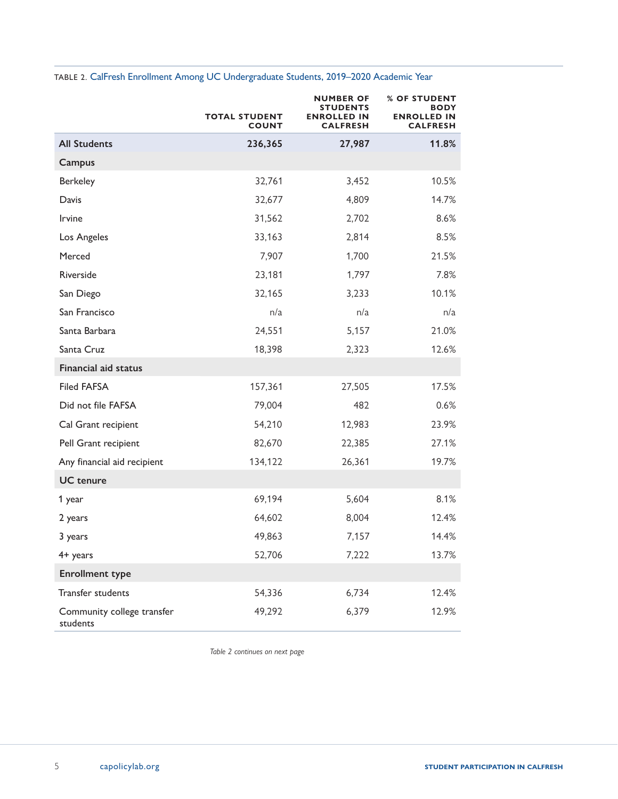|                                        | <b>TOTAL STUDENT</b><br><b>COUNT</b> | <b>NUMBER OF</b><br><b>STUDENTS</b><br><b>ENROLLED IN</b><br><b>CALFRESH</b> | <b>% OF STUDENT</b><br><b>BODY</b><br><b>ENROLLED IN</b><br><b>CALFRESH</b> |
|----------------------------------------|--------------------------------------|------------------------------------------------------------------------------|-----------------------------------------------------------------------------|
| <b>All Students</b>                    | 236,365                              | 27,987                                                                       | 11.8%                                                                       |
| Campus                                 |                                      |                                                                              |                                                                             |
| Berkeley                               | 32,761                               | 3,452                                                                        | 10.5%                                                                       |
| Davis                                  | 32,677                               | 4,809                                                                        | 14.7%                                                                       |
| Irvine                                 | 31,562                               | 2,702                                                                        | 8.6%                                                                        |
| Los Angeles                            | 33,163                               | 2,814                                                                        | 8.5%                                                                        |
| Merced                                 | 7,907                                | 1,700                                                                        | 21.5%                                                                       |
| Riverside                              | 23,181                               | 1,797                                                                        | 7.8%                                                                        |
| San Diego                              | 32,165                               | 3,233                                                                        | 10.1%                                                                       |
| San Francisco                          | n/a                                  | n/a                                                                          | n/a                                                                         |
| Santa Barbara                          | 24,551                               | 5,157                                                                        | 21.0%                                                                       |
| Santa Cruz                             | 18,398                               | 2,323                                                                        | 12.6%                                                                       |
| <b>Financial aid status</b>            |                                      |                                                                              |                                                                             |
| <b>Filed FAFSA</b>                     | 157,361                              | 27,505                                                                       | 17.5%                                                                       |
| Did not file FAFSA                     | 79,004                               | 482                                                                          | 0.6%                                                                        |
| Cal Grant recipient                    | 54,210                               | 12,983                                                                       | 23.9%                                                                       |
| Pell Grant recipient                   | 82,670                               | 22,385                                                                       | 27.1%                                                                       |
| Any financial aid recipient            | 134,122                              | 26,361                                                                       | 19.7%                                                                       |
| <b>UC</b> tenure                       |                                      |                                                                              |                                                                             |
| 1 year                                 | 69,194                               | 5,604                                                                        | 8.1%                                                                        |
| 2 years                                | 64,602                               | 8,004                                                                        | 12.4%                                                                       |
| 3 years                                | 49,863                               | 7,157                                                                        | 14.4%                                                                       |
| 4+ years                               | 52,706                               | 7,222                                                                        | 13.7%                                                                       |
| <b>Enrollment type</b>                 |                                      |                                                                              |                                                                             |
| Transfer students                      | 54,336                               | 6,734                                                                        | 12.4%                                                                       |
| Community college transfer<br>students | 49,292                               | 6,379                                                                        | 12.9%                                                                       |

### TABLE 2. CalFresh Enrollment Among UC Undergraduate Students, 2019–2020 Academic Year

*Table 2 continues on next page*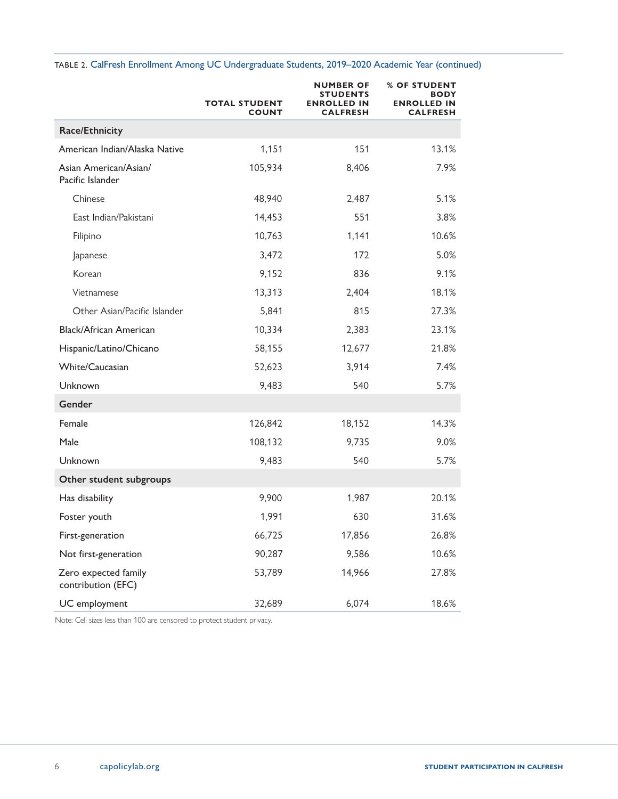|                                            | <b>TOTAL STUDENT</b><br><b>COUNT</b> | <b>NUMBER OF</b><br><b>STUDENTS</b><br><b>ENROLLED IN</b><br><b>CALFRESH</b> | <b>% OF STUDENT</b><br><b>BODY</b><br><b>ENROLLED IN</b><br><b>CALFRESH</b> |
|--------------------------------------------|--------------------------------------|------------------------------------------------------------------------------|-----------------------------------------------------------------------------|
| Race/Ethnicity                             |                                      |                                                                              |                                                                             |
| American Indian/Alaska Native              | 1,151                                | 151                                                                          | 13.1%                                                                       |
| Asian American/Asian/<br>Pacific Islander  | 105,934                              | 8,406                                                                        | 7.9%                                                                        |
| Chinese                                    | 48,940                               | 2,487                                                                        | 5.1%                                                                        |
| East Indian/Pakistani                      | 14,453                               | 551                                                                          | 3.8%                                                                        |
| Filipino                                   | 10,763                               | 1,141                                                                        | 10.6%                                                                       |
| Japanese                                   | 3,472                                | 172                                                                          | 5.0%                                                                        |
| Korean                                     | 9,152                                | 836                                                                          | 9.1%                                                                        |
| Vietnamese                                 | 13,313                               | 2,404                                                                        | 18.1%                                                                       |
| Other Asian/Pacific Islander               | 5,841                                | 815                                                                          | 27.3%                                                                       |
| Black/African American                     | 10,334                               | 2,383                                                                        | 23.1%                                                                       |
| Hispanic/Latino/Chicano                    | 58,155                               | 12,677                                                                       | 21.8%                                                                       |
| White/Caucasian                            | 52,623                               | 3,914                                                                        | 7.4%                                                                        |
| Unknown                                    | 9,483                                | 540                                                                          | 5.7%                                                                        |
| Gender                                     |                                      |                                                                              |                                                                             |
| Female                                     | 126,842                              | 18,152                                                                       | 14.3%                                                                       |
| Male                                       | 108,132                              | 9,735                                                                        | 9.0%                                                                        |
| Unknown                                    | 9,483                                | 540                                                                          | 5.7%                                                                        |
| Other student subgroups                    |                                      |                                                                              |                                                                             |
| Has disability                             | 9,900                                | 1,987                                                                        | 20.1%                                                                       |
| Foster youth                               | 1,991                                | 630                                                                          | 31.6%                                                                       |
| First-generation                           | 66,725                               | 17,856                                                                       | 26.8%                                                                       |
| Not first-generation                       | 90,287                               | 9,586                                                                        | 10.6%                                                                       |
| Zero expected family<br>contribution (EFC) | 53,789                               | 14,966                                                                       | 27.8%                                                                       |
| UC employment                              | 32,689                               | 6,074                                                                        | 18.6%                                                                       |

TABLE 2. CalFresh Enrollment Among UC Undergraduate Students, 2019–2020 Academic Year (continued)

Note: Cell sizes less than 100 are censored to protect student privacy.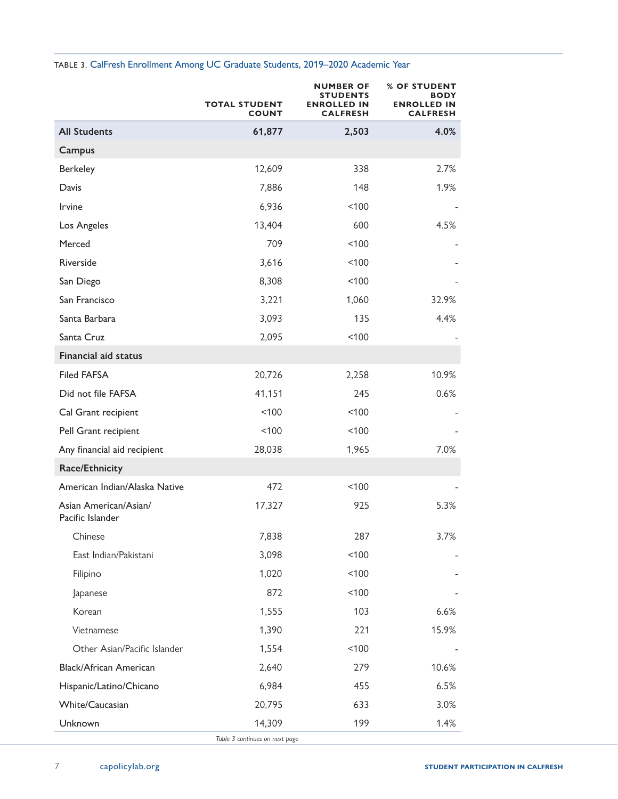|                                           | <b>TOTAL STUDENT</b><br><b>COUNT</b> | <b>NUMBER OF</b><br>STUDENTS<br><b>ENROLLED IN</b><br><b>CALFRESH</b> | % OF STUDENT<br><b>BODY</b><br><b>ENROLLED IN</b><br><b>CALFRESH</b> |
|-------------------------------------------|--------------------------------------|-----------------------------------------------------------------------|----------------------------------------------------------------------|
| <b>All Students</b>                       | 61,877                               | 2,503                                                                 | 4.0%                                                                 |
| Campus                                    |                                      |                                                                       |                                                                      |
| Berkeley                                  | 12,609                               | 338                                                                   | 2.7%                                                                 |
| Davis                                     | 7,886                                | 148                                                                   | 1.9%                                                                 |
| Irvine                                    | 6,936                                | < 100                                                                 |                                                                      |
| Los Angeles                               | 13,404                               | 600                                                                   | 4.5%                                                                 |
| Merced                                    | 709                                  | < 100                                                                 |                                                                      |
| Riverside                                 | 3,616                                | 100                                                                   |                                                                      |
| San Diego                                 | 8,308                                | < 100                                                                 |                                                                      |
| San Francisco                             | 3,221                                | 1,060                                                                 | 32.9%                                                                |
| Santa Barbara                             | 3,093                                | 135                                                                   | 4.4%                                                                 |
| Santa Cruz                                | 2,095                                | < 100                                                                 |                                                                      |
| <b>Financial aid status</b>               |                                      |                                                                       |                                                                      |
| <b>Filed FAFSA</b>                        | 20,726                               | 2,258                                                                 | 10.9%                                                                |
| Did not file FAFSA                        | 41,151                               | 245                                                                   | 0.6%                                                                 |
| Cal Grant recipient                       | 100                                  | < 100                                                                 |                                                                      |
| Pell Grant recipient                      | 100                                  | 100                                                                   |                                                                      |
| Any financial aid recipient               | 28,038                               | 1,965                                                                 | 7.0%                                                                 |
| Race/Ethnicity                            |                                      |                                                                       |                                                                      |
| American Indian/Alaska Native             | 472                                  | 100                                                                   |                                                                      |
| Asian American/Asian/<br>Pacific Islander | 17,327                               | 925                                                                   | 5.3%                                                                 |
| Chinese                                   | 7,838                                | 287                                                                   | 3.7%                                                                 |
| East Indian/Pakistani                     | 3,098                                | 100                                                                   |                                                                      |
| Filipino                                  | 1,020                                | 100                                                                   |                                                                      |
| Japanese                                  | 872                                  | 100                                                                   |                                                                      |
| Korean                                    | 1,555                                | 103                                                                   | 6.6%                                                                 |
| Vietnamese                                | 1,390                                | 221                                                                   | 15.9%                                                                |
| Other Asian/Pacific Islander              | 1,554                                | 100                                                                   |                                                                      |
| <b>Black/African American</b>             | 2,640                                | 279                                                                   | 10.6%                                                                |
| Hispanic/Latino/Chicano                   | 6,984                                | 455                                                                   | 6.5%                                                                 |
| White/Caucasian                           | 20,795                               | 633                                                                   | 3.0%                                                                 |
| Unknown                                   | 14,309                               | 199                                                                   | 1.4%                                                                 |

### TABLE 3. CalFresh Enrollment Among UC Graduate Students, 2019–2020 Academic Year

*Table 3 continues on next page*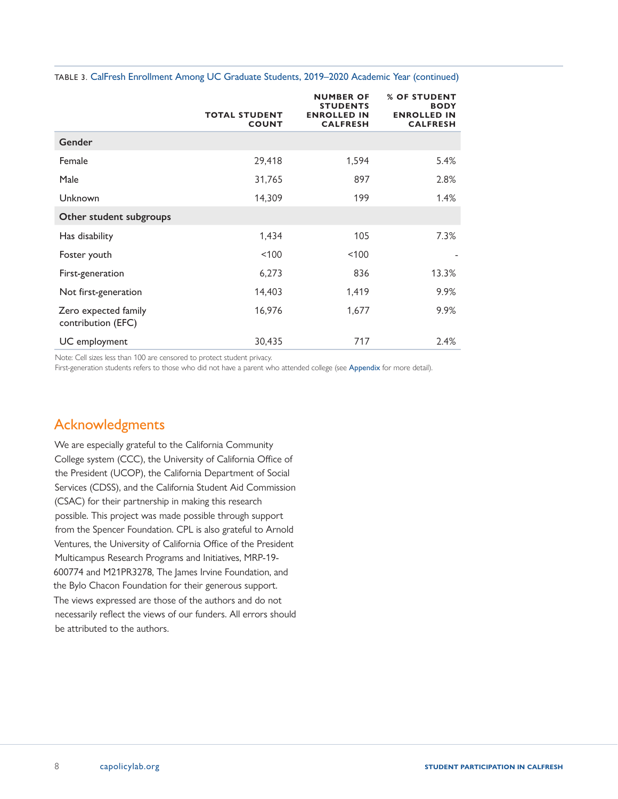|                                            | <b>TOTAL STUDENT</b><br><b>COUNT</b> | <b>NUMBER OF</b><br><b>STUDENTS</b><br><b>ENROLLED IN</b><br><b>CALFRESH</b> | % OF STUDENT<br><b>BODY</b><br><b>ENROLLED IN</b><br><b>CALFRESH</b> |
|--------------------------------------------|--------------------------------------|------------------------------------------------------------------------------|----------------------------------------------------------------------|
| Gender                                     |                                      |                                                                              |                                                                      |
| Female                                     | 29,418                               | 1,594                                                                        | 5.4%                                                                 |
| Male                                       | 31,765                               | 897                                                                          | 2.8%                                                                 |
| Unknown                                    | 14,309                               | 199                                                                          | 1.4%                                                                 |
| Other student subgroups                    |                                      |                                                                              |                                                                      |
| Has disability                             | 1,434                                | 105                                                                          | 7.3%                                                                 |
| Foster youth                               | 100                                  | < 100                                                                        |                                                                      |
| First-generation                           | 6,273                                | 836                                                                          | 13.3%                                                                |
| Not first-generation                       | 14,403                               | 1,419                                                                        | 9.9%                                                                 |
| Zero expected family<br>contribution (EFC) | 16,976                               | 1,677                                                                        | 9.9%                                                                 |
| UC employment                              | 30,435                               | 717                                                                          | 2.4%                                                                 |

#### TABLE 3. CalFresh Enrollment Among UC Graduate Students, 2019–2020 Academic Year (continued)

Note: Cell sizes less than 100 are censored to protect student privacy.

First-generation students refers to those who did not have a parent who attended college (see [Appendix](#page-8-0) for more detail).

# Acknowledgments

We are especially grateful to the California Community College system (CCC), the University of California Office of the President (UCOP), the California Department of Social Services (CDSS), and the California Student Aid Commission (CSAC) for their partnership in making this research possible. This project was made possible through support from the Spencer Foundation. CPL is also grateful to Arnold Ventures, the University of California Office of the President Multicampus Research Programs and Initiatives, MRP-19- 600774 and M21PR3278, The James Irvine Foundation, and the Bylo Chacon Foundation for their generous support. The views expressed are those of the authors and do not necessarily reflect the views of our funders. All errors should be attributed to the authors.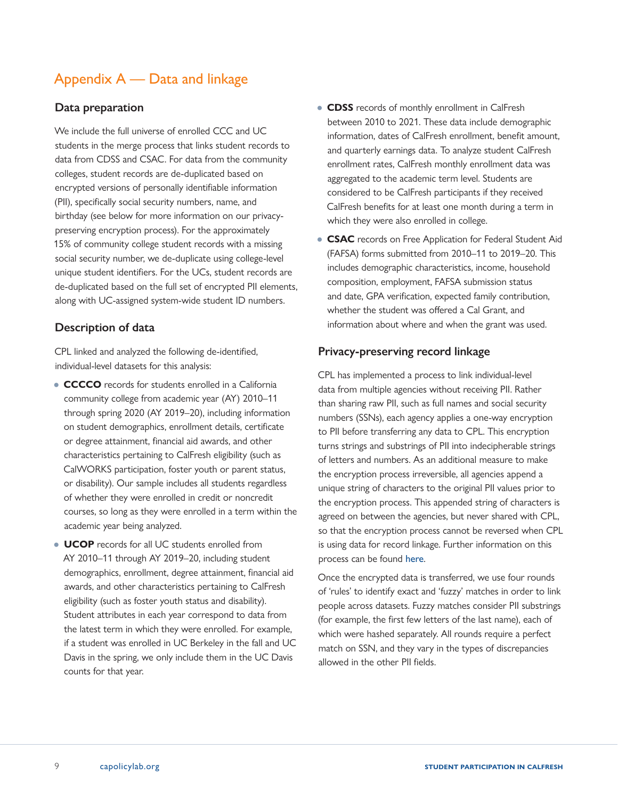# <span id="page-8-0"></span>Appendix A — Data and linkage

### **Data preparation**

We include the full universe of enrolled CCC and UC students in the merge process that links student records to data from CDSS and CSAC. For data from the community colleges, student records are de-duplicated based on encrypted versions of personally identifiable information (PII), specifically social security numbers, name, and birthday (see below for more information on our privacypreserving encryption process). For the approximately 15% of community college student records with a missing social security number, we de-duplicate using college-level unique student identifiers. For the UCs, student records are de-duplicated based on the full set of encrypted PII elements, along with UC-assigned system-wide student ID numbers.

### **Description of data**

CPL linked and analyzed the following de-identified, individual-level datasets for this analysis:

- **CCCCO** records for students enrolled in a California community college from academic year (AY) 2010–11 through spring 2020 (AY 2019–20), including information on student demographics, enrollment details, certificate or degree attainment, financial aid awards, and other characteristics pertaining to CalFresh eligibility (such as CalWORKS participation, foster youth or parent status, or disability). Our sample includes all students regardless of whether they were enrolled in credit or noncredit courses, so long as they were enrolled in a term within the academic year being analyzed.
- **UCOP** records for all UC students enrolled from AY 2010–11 through AY 2019–20, including student demographics, enrollment, degree attainment, financial aid awards, and other characteristics pertaining to CalFresh eligibility (such as foster youth status and disability). Student attributes in each year correspond to data from the latest term in which they were enrolled. For example, if a student was enrolled in UC Berkeley in the fall and UC Davis in the spring, we only include them in the UC Davis counts for that year.
- **CDSS** records of monthly enrollment in CalFresh between 2010 to 2021. These data include demographic information, dates of CalFresh enrollment, benefit amount, and quarterly earnings data. To analyze student CalFresh enrollment rates, CalFresh monthly enrollment data was aggregated to the academic term level. Students are considered to be CalFresh participants if they received CalFresh benefits for at least one month during a term in which they were also enrolled in college.
- **CSAC** records on Free Application for Federal Student Aid (FAFSA) forms submitted from 2010–11 to 2019–20. This includes demographic characteristics, income, household composition, employment, FAFSA submission status and date, GPA verification, expected family contribution, whether the student was offered a Cal Grant, and information about where and when the grant was used.

### **Privacy-preserving record linkage**

CPL has implemented a process to link individual-level data from multiple agencies without receiving PII. Rather than sharing raw PII, such as full names and social security numbers (SSNs), each agency applies a one-way encryption to PII before transferring any data to CPL. This encryption turns strings and substrings of PII into indecipherable strings of letters and numbers. As an additional measure to make the encryption process irreversible, all agencies append a unique string of characters to the original PII values prior to the encryption process. This appended string of characters is agreed on between the agencies, but never shared with CPL, so that the encryption process cannot be reversed when CPL is using data for record linkage. Further information on this process can be found [here](https://www.capolicylab.org/wp-content/uploads/2021/04/CPL-Hashed-Data-Linkage-Explainer.pdf).

Once the encrypted data is transferred, we use four rounds of 'rules' to identify exact and 'fuzzy' matches in order to link people across datasets. Fuzzy matches consider PII substrings (for example, the first few letters of the last name), each of which were hashed separately. All rounds require a perfect match on SSN, and they vary in the types of discrepancies allowed in the other PII fields.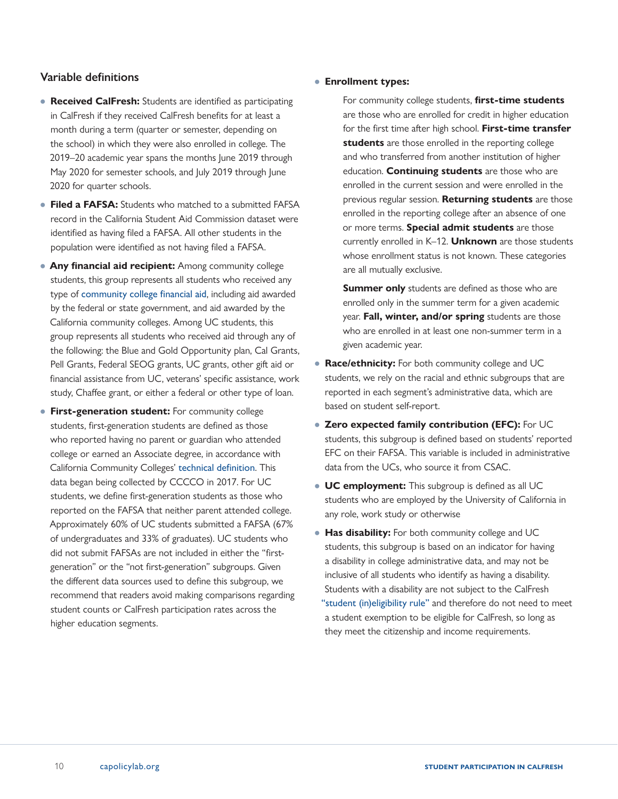### **Variable definitions**

- **Received CalFresh:** Students are identified as participating in CalFresh if they received CalFresh benefits for at least a month during a term (quarter or semester, depending on the school) in which they were also enrolled in college. The 2019–20 academic year spans the months June 2019 through May 2020 for semester schools, and July 2019 through June 2020 for quarter schools.
- **Filed a FAFSA:** Students who matched to a submitted FAFSA record in the California Student Aid Commission dataset were identified as having filed a FAFSA. All other students in the population were identified as not having filed a FAFSA.
- **Any financial aid recipient:** Among community college students, this group represents all students who received any type of [community college financial aid](https://webdata.cccco.edu/ded/sf/sf21.pdf), including aid awarded by the federal or state government, and aid awarded by the California community colleges. Among UC students, this group represents all students who received aid through any of the following: the Blue and Gold Opportunity plan, Cal Grants, Pell Grants, Federal SEOG grants, UC grants, other gift aid or financial assistance from UC, veterans' specific assistance, work study, Chaffee grant, or either a federal or other type of loan.
- **First-generation student:** For community college students, first-generation students are defined as those who reported having no parent or guardian who attended college or earned an Associate degree, in accordance with California Community Colleges' [technical definition](https://www.calpassplus.org/Launchboard/Student-Success-Metrics-MDD?metric=SM122#_Toc83114970). This data began being collected by CCCCO in 2017. For UC students, we define first-generation students as those who reported on the FAFSA that neither parent attended college. Approximately 60% of UC students submitted a FAFSA (67% of undergraduates and 33% of graduates). UC students who did not submit FAFSAs are not included in either the "firstgeneration" or the "not first-generation" subgroups. Given the different data sources used to define this subgroup, we recommend that readers avoid making comparisons regarding student counts or CalFresh participation rates across the higher education segments.

#### ● **Enrollment types:**

For community college students, **first-time students** are those who are enrolled for credit in higher education for the first time after high school. **First-time transfer**  students are those enrolled in the reporting college and who transferred from another institution of higher education. **Continuing students** are those who are enrolled in the current session and were enrolled in the previous regular session. **Returning students** are those enrolled in the reporting college after an absence of one or more terms. **Special admit students** are those currently enrolled in K–12. **Unknown** are those students whose enrollment status is not known. These categories are all mutually exclusive.

**Summer only** students are defined as those who are enrolled only in the summer term for a given academic year. **Fall, winter, and/or spring** students are those who are enrolled in at least one non-summer term in a given academic year.

- **Race/ethnicity:** For both community college and UC students, we rely on the racial and ethnic subgroups that are reported in each segment's administrative data, which are based on student self-report.
- **Zero expected family contribution (EFC):** For UC students, this subgroup is defined based on students' reported EFC on their FAFSA. This variable is included in administrative data from the UCs, who source it from CSAC.
- **UC employment:** This subgroup is defined as all UC students who are employed by the University of California in any role, work study or otherwise
- **Has disability:** For both community college and UC students, this subgroup is based on an indicator for having a disability in college administrative data, and may not be inclusive of all students who identify as having a disability. Students with a disability are not subject to the CalFresh ["student \(in\)eligibility rule"](https://www.cdss.ca.gov/calfreshoutreach/res/toolkit/quickreference/regulationquickreference_e_students.pdf) and therefore do not need to meet a student exemption to be eligible for CalFresh, so long as they meet the citizenship and income requirements.